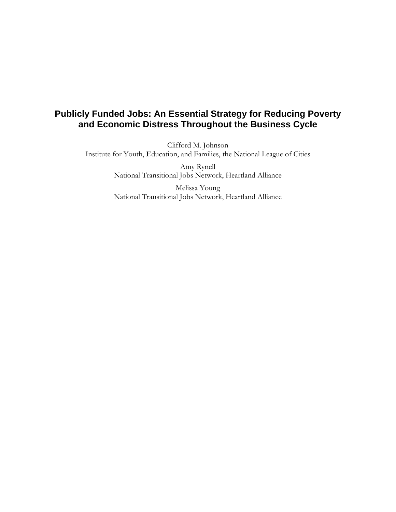# **Publicly Funded Jobs: An Essential Strategy for Reducing Poverty and Economic Distress Throughout the Business Cycle**

Clifford M. Johnson Institute for Youth, Education, and Families, the National League of Cities

> Amy Rynell National Transitional Jobs Network, Heartland Alliance

> Melissa Young National Transitional Jobs Network, Heartland Alliance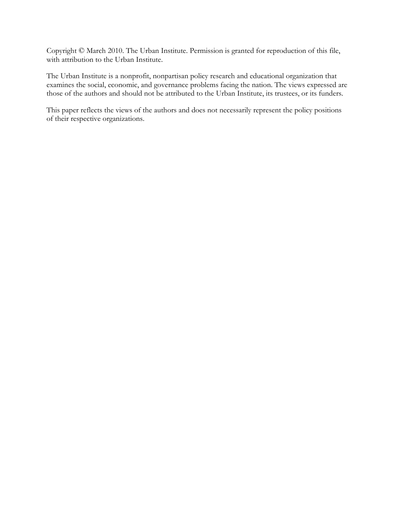Copyright © March 2010. The Urban Institute. Permission is granted for reproduction of this file, with attribution to the Urban Institute.

The Urban Institute is a nonprofit, nonpartisan policy research and educational organization that examines the social, economic, and governance problems facing the nation. The views expressed are those of the authors and should not be attributed to the Urban Institute, its trustees, or its funders.

This paper reflects the views of the authors and does not necessarily represent the policy positions of their respective organizations.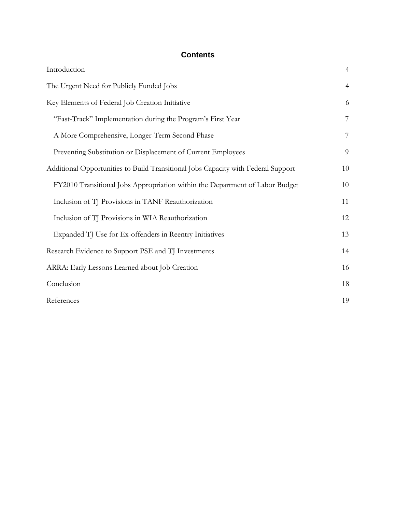# **Contents**

| Introduction                                                                      | $\overline{4}$ |
|-----------------------------------------------------------------------------------|----------------|
| The Urgent Need for Publicly Funded Jobs                                          | $\overline{4}$ |
| Key Elements of Federal Job Creation Initiative                                   | 6              |
| "Fast-Track" Implementation during the Program's First Year                       | $\overline{7}$ |
| A More Comprehensive, Longer-Term Second Phase                                    | $\overline{7}$ |
| Preventing Substitution or Displacement of Current Employees                      | 9              |
| Additional Opportunities to Build Transitional Jobs Capacity with Federal Support | 10             |
| FY2010 Transitional Jobs Appropriation within the Department of Labor Budget      | 10             |
| Inclusion of TJ Provisions in TANF Reauthorization                                | 11             |
| Inclusion of TJ Provisions in WIA Reauthorization                                 | 12             |
| Expanded TJ Use for Ex-offenders in Reentry Initiatives                           | 13             |
| Research Evidence to Support PSE and TJ Investments                               | 14             |
| ARRA: Early Lessons Learned about Job Creation                                    | 16             |
| Conclusion                                                                        | 18             |
| References                                                                        | 19             |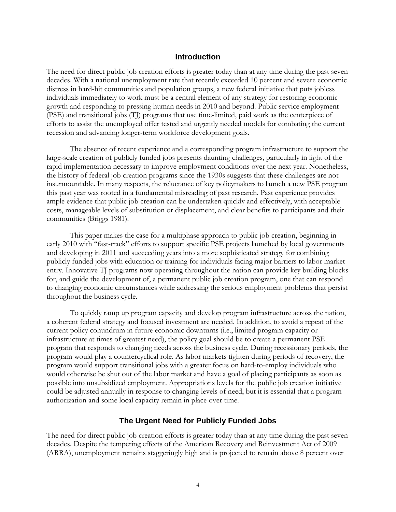### **Introduction**

<span id="page-3-0"></span>The need for direct public job creation efforts is greater today than at any time during the past seven decades. With a national unemployment rate that recently exceeded 10 percent and severe economic distress in hard-hit communities and population groups, a new federal initiative that puts jobless individuals immediately to work must be a central element of any strategy for restoring economic growth and responding to pressing human needs in 2010 and beyond. Public service employment (PSE) and transitional jobs (TJ) programs that use time-limited, paid work as the centerpiece of efforts to assist the unemployed offer tested and urgently needed models for combating the current recession and advancing longer-term workforce development goals.

The absence of recent experience and a corresponding program infrastructure to support the large-scale creation of publicly funded jobs presents daunting challenges, particularly in light of the rapid implementation necessary to improve employment conditions over the next year. Nonetheless, the history of federal job creation programs since the 1930s suggests that these challenges are not insurmountable. In many respects, the reluctance of key policymakers to launch a new PSE program this past year was rooted in a fundamental misreading of past research. Past experience provides ample evidence that public job creation can be undertaken quickly and effectively, with acceptable costs, manageable levels of substitution or displacement, and clear benefits to participants and their communities (Briggs 1981).

This paper makes the case for a multiphase approach to public job creation, beginning in early 2010 with "fast-track" efforts to support specific PSE projects launched by local governments and developing in 2011 and succeeding years into a more sophisticated strategy for combining publicly funded jobs with education or training for individuals facing major barriers to labor market entry. Innovative TJ programs now operating throughout the nation can provide key building blocks for, and guide the development of, a permanent public job creation program, one that can respond to changing economic circumstances while addressing the serious employment problems that persist throughout the business cycle.

To quickly ramp up program capacity and develop program infrastructure across the nation, a coherent federal strategy and focused investment are needed. In addition, to avoid a repeat of the current policy conundrum in future economic downturns (i.e., limited program capacity or infrastructure at times of greatest need), the policy goal should be to create a permanent PSE program that responds to changing needs across the business cycle. During recessionary periods, the program would play a countercyclical role. As labor markets tighten during periods of recovery, the program would support transitional jobs with a greater focus on hard-to-employ individuals who would otherwise be shut out of the labor market and have a goal of placing participants as soon as possible into unsubsidized employment. Appropriations levels for the public job creation initiative could be adjusted annually in response to changing levels of need, but it is essential that a program authorization and some local capacity remain in place over time.

#### **The Urgent Need for Publicly Funded Jobs**

The need for direct public job creation efforts is greater today than at any time during the past seven decades. Despite the tempering effects of the American Recovery and Reinvestment Act of 2009 (ARRA), unemployment remains staggeringly high and is projected to remain above 8 percent over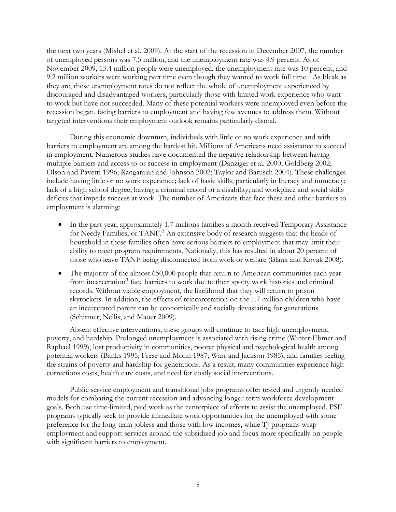the next two years (Mishel et al. 2009). At the start of the recession in December 2007, the number of unemployed persons was 7.5 million, and the unemployment rate was 4.9 percent. As of November 2009, 15.4 million people were unemployed, the unemployment rate was 10 percent, and 9.2 million workers were working part time even though they wanted to work full time.<sup>[1](#page-20-0)</sup> As bleak as they are, these unemployment rates do not reflect the whole of unemployment experienced by discouraged and disadvantaged workers, particularly those with limited work experience who want to work but have not succeeded. Many of these potential workers were unemployed even before the recession began, facing barriers to employment and having few avenues to address them. Without targeted interventions their employment outlook remains particularly dismal.

During this economic downturn, individuals with little or no work experience and with barriers to employment are among the hardest hit. Millions of Americans need assistance to succeed in employment. Numerous studies have documented the negative relationship between having multiple barriers and access to or success in employment (Danziger et al. 2000; Goldberg 2002; Olson and Pavetti 1996; Rangarajan and Johnson 2002; Taylor and Barusch 2004). These challenges include having little or no work experience; lack of basic skills, particularly in literacy and numeracy; lack of a high school degree; having a criminal record or a disability; and workplace and social skills deficits that impede success at work. The number of Americans that face these and other barriers to employment is alarming:

- In the past year, approximately 1.7 millions families a month received Temporary Assistance for Needy Families, or TANF.<sup>[2](#page-20-1)</sup> An extensive body of research suggests that the heads of household in these families often have serious barriers to employment that may limit their ability to meet program requirements. Nationally, this has resulted in about 20 percent of those who leave TANF being disconnected from work or welfare (Blank and Kovak 2008).
- The majority of the almost 650,000 people that return to American communities each year from incarceration<sup>[3](#page-20-1)</sup> face barriers to work due to their spotty work histories and criminal records. Without viable employment, the likelihood that they will return to prison skyrockets. In addition, the effects of reincarceration on the 1.7 million children who have an incarcerated parent can be economically and socially devastating for generations (Schirmer, Nellis, and Mauer 2009).

Absent effective interventions, these groups will continue to face high unemployment, poverty, and hardship. Prolonged unemployment is associated with rising crime (Winter-Ebmer and Raphael 1999), lost productivity in communities, poorer physical and psychological health among potential workers (Banks 1995; Frese and Mohn 1987; Warr and Jackson 1985), and families feeling the strains of poverty and hardship for generations. As a result, many communities experience high corrections costs, health care costs, and need for costly social interventions.

Public service employment and transitional jobs programs offer tested and urgently needed models for combating the current recession and advancing longer-term workforce development goals. Both use time-limited, paid work as the centerpiece of efforts to assist the unemployed. PSE programs typically seek to provide immediate work opportunities for the unemployed with some preference for the long-term jobless and those with low incomes, while TJ programs wrap employment and support services around the subsidized job and focus more specifically on people with significant barriers to employment.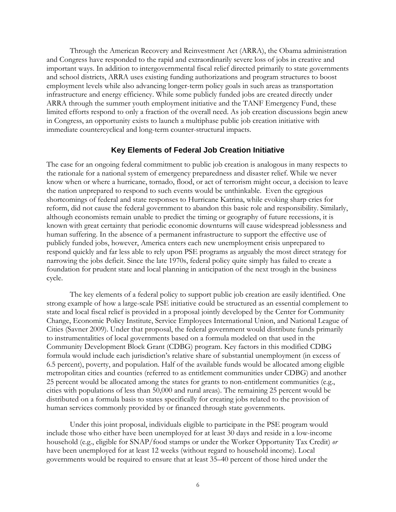<span id="page-5-0"></span>Through the American Recovery and Reinvestment Act (ARRA), the Obama administration and Congress have responded to the rapid and extraordinarily severe loss of jobs in creative and important ways. In addition to intergovernmental fiscal relief directed primarily to state governments and school districts, ARRA uses existing funding authorizations and program structures to boost employment levels while also advancing longer-term policy goals in such areas as transportation infrastructure and energy efficiency. While some publicly funded jobs are created directly under ARRA through the summer youth employment initiative and the TANF Emergency Fund, these limited efforts respond to only a fraction of the overall need. As job creation discussions begin anew in Congress, an opportunity exists to launch a multiphase public job creation initiative with immediate countercyclical and long-term counter-structural impacts.

#### **Key Elements of Federal Job Creation Initiative**

The case for an ongoing federal commitment to public job creation is analogous in many respects to the rationale for a national system of emergency preparedness and disaster relief. While we never know when or where a hurricane, tornado, flood, or act of terrorism might occur, a decision to leave the nation unprepared to respond to such events would be unthinkable. Even the egregious shortcomings of federal and state responses to Hurricane Katrina, while evoking sharp cries for reform, did not cause the federal government to abandon this basic role and responsibility. Similarly, although economists remain unable to predict the timing or geography of future recessions, it is known with great certainty that periodic economic downturns will cause widespread joblessness and human suffering. In the absence of a permanent infrastructure to support the effective use of publicly funded jobs, however, America enters each new unemployment crisis unprepared to respond quickly and far less able to rely upon PSE programs as arguably the most direct strategy for narrowing the jobs deficit. Since the late 1970s, federal policy quite simply has failed to create a foundation for prudent state and local planning in anticipation of the next trough in the business cycle.

The key elements of a federal policy to support public job creation are easily identified. One strong example of how a large-scale PSE initiative could be structured as an essential complement to state and local fiscal relief is provided in a proposal jointly developed by the Center for Community Change, Economic Policy Institute, Service Employees International Union, and National League of Cities (Savner 2009). Under that proposal, the federal government would distribute funds primarily to instrumentalities of local governments based on a formula modeled on that used in the Community Development Block Grant (CDBG) program. Key factors in this modified CDBG formula would include each jurisdiction's relative share of substantial unemployment (in excess of 6.5 percent), poverty, and population. Half of the available funds would be allocated among eligible metropolitan cities and counties (referred to as entitlement communities under CDBG) and another 25 percent would be allocated among the states for grants to non-entitlement communities (e.g., cities with populations of less than 50,000 and rural areas). The remaining 25 percent would be distributed on a formula basis to states specifically for creating jobs related to the provision of human services commonly provided by or financed through state governments.

Under this joint proposal, individuals eligible to participate in the PSE program would include those who either have been unemployed for at least 30 days and reside in a low-income household (e.g., eligible for SNAP/food stamps or under the Worker Opportunity Tax Credit) *or* have been unemployed for at least 12 weeks (without regard to household income). Local governments would be required to ensure that at least 35–40 percent of those hired under the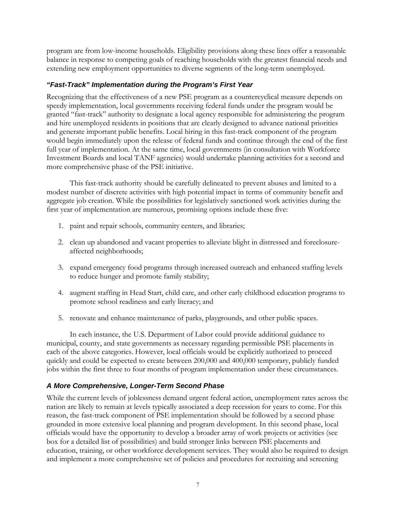<span id="page-6-0"></span>program are from low-income households. Eligibility provisions along these lines offer a reasonable balance in response to competing goals of reaching households with the greatest financial needs and extending new employment opportunities to diverse segments of the long-term unemployed.

## *"Fast-Track" Implementation during the Program's First Year*

Recognizing that the effectiveness of a new PSE program as a countercyclical measure depends on speedy implementation, local governments receiving federal funds under the program would be granted "fast-track" authority to designate a local agency responsible for administering the program and hire unemployed residents in positions that are clearly designed to advance national priorities and generate important public benefits. Local hiring in this fast-track component of the program would begin immediately upon the release of federal funds and continue through the end of the first full year of implementation. At the same time, local governments (in consultation with Workforce Investment Boards and local TANF agencies) would undertake planning activities for a second and more comprehensive phase of the PSE initiative.

This fast-track authority should be carefully delineated to prevent abuses and limited to a modest number of discrete activities with high potential impact in terms of community benefit and aggregate job creation. While the possibilities for legislatively sanctioned work activities during the first year of implementation are numerous, promising options include these five:

- 1. paint and repair schools, community centers, and libraries;
- 2. clean up abandoned and vacant properties to alleviate blight in distressed and foreclosureaffected neighborhoods;
- 3. expand emergency food programs through increased outreach and enhanced staffing levels to reduce hunger and promote family stability;
- 4. augment staffing in Head Start, child care, and other early childhood education programs to promote school readiness and early literacy; and
- 5. renovate and enhance maintenance of parks, playgrounds, and other public spaces.

In each instance, the U.S. Department of Labor could provide additional guidance to municipal, county, and state governments as necessary regarding permissible PSE placements in each of the above categories. However, local officials would be explicitly authorized to proceed quickly and could be expected to create between 200,000 and 400,000 temporary, publicly funded jobs within the first three to four months of program implementation under these circumstances.

# *A More Comprehensive, Longer-Term Second Phase*

While the current levels of joblessness demand urgent federal action, unemployment rates across the nation are likely to remain at levels typically associated a deep recession for years to come. For this reason, the fast-track component of PSE implementation should be followed by a second phase grounded in more extensive local planning and program development. In this second phase, local officials would have the opportunity to develop a broader array of work projects or activities (see box for a detailed list of possibilities) and build stronger links between PSE placements and education, training, or other workforce development services. They would also be required to design and implement a more comprehensive set of policies and procedures for recruiting and screening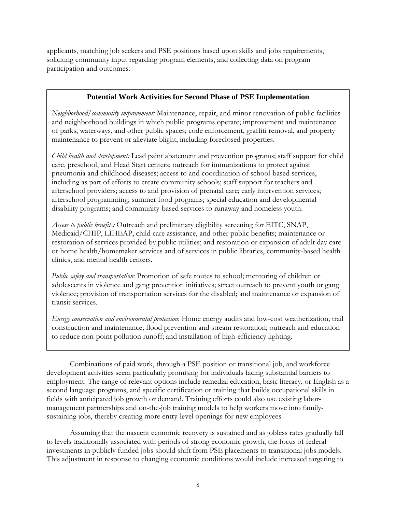applicants, matching job seekers and PSE positions based upon skills and jobs requirements, soliciting community input regarding program elements, and collecting data on program participation and outcomes.

## **Potential Work Activities for Second Phase of PSE Implementation**

*Neighborhood/community improvement:* Maintenance, repair, and minor renovation of public facilities and neighborhood buildings in which public programs operate; improvement and maintenance of parks, waterways, and other public spaces; code enforcement, graffiti removal, and property maintenance to prevent or alleviate blight, including foreclosed properties.

*Child health and development:* Lead paint abatement and prevention programs; staff support for child care, preschool, and Head Start centers; outreach for immunizations to protect against pneumonia and childhood diseases; access to and coordination of school-based services, including as part of efforts to create community schools; staff support for teachers and afterschool providers; access to and provision of prenatal care; early intervention services; afterschool programming; summer food programs; special education and developmental disability programs; and community-based services to runaway and homeless youth.

*Access to public benefits:* Outreach and preliminary eligibility screening for EITC, SNAP, Medicaid/CHIP, LIHEAP, child care assistance, and other public benefits; maintenance or restoration of services provided by public utilities; and restoration or expansion of adult day care or home health/homemaker services and of services in public libraries, community-based health clinics, and mental health centers.

*Public safety and transportation:* Promotion of safe routes to school; mentoring of children or adolescents in violence and gang prevention initiatives; street outreach to prevent youth or gang violence; provision of transportation services for the disabled; and maintenance or expansion of transit services.

*Energy conservation and environmental protection*: Home energy audits and low-cost weatherization; trail construction and maintenance; flood prevention and stream restoration; outreach and education to reduce non-point pollution runoff; and installation of high-efficiency lighting.

Combinations of paid work, through a PSE position or transitional job, and workforce development activities seem particularly promising for individuals facing substantial barriers to employment. The range of relevant options include remedial education, basic literacy, or English as a second language programs, and specific certification or training that builds occupational skills in fields with anticipated job growth or demand. Training efforts could also use existing labormanagement partnerships and on-the-job training models to help workers move into familysustaining jobs, thereby creating more entry-level openings for new employees.

Assuming that the nascent economic recovery is sustained and as jobless rates gradually fall to levels traditionally associated with periods of strong economic growth, the focus of federal investments in publicly funded jobs should shift from PSE placements to transitional jobs models. This adjustment in response to changing economic conditions would include increased targeting to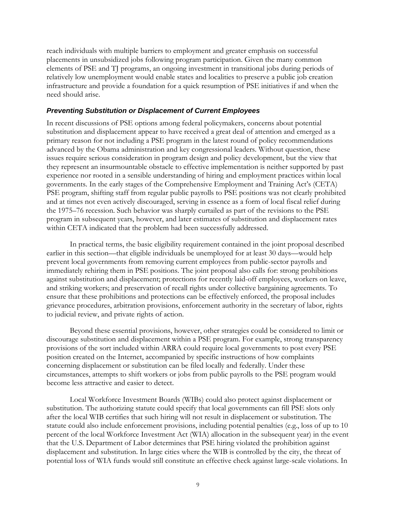<span id="page-8-0"></span>reach individuals with multiple barriers to employment and greater emphasis on successful placements in unsubsidized jobs following program participation. Given the many common elements of PSE and TJ programs, an ongoing investment in transitional jobs during periods of relatively low unemployment would enable states and localities to preserve a public job creation infrastructure and provide a foundation for a quick resumption of PSE initiatives if and when the need should arise.

#### *Preventing Substitution or Displacement of Current Employees*

In recent discussions of PSE options among federal policymakers, concerns about potential substitution and displacement appear to have received a great deal of attention and emerged as a primary reason for not including a PSE program in the latest round of policy recommendations advanced by the Obama administration and key congressional leaders. Without question, these issues require serious consideration in program design and policy development, but the view that they represent an insurmountable obstacle to effective implementation is neither supported by past experience nor rooted in a sensible understanding of hiring and employment practices within local governments. In the early stages of the Comprehensive Employment and Training Act's (CETA) PSE program, shifting staff from regular public payrolls to PSE positions was not clearly prohibited and at times not even actively discouraged, serving in essence as a form of local fiscal relief during the 1975–76 recession. Such behavior was sharply curtailed as part of the revisions to the PSE program in subsequent years, however, and later estimates of substitution and displacement rates within CETA indicated that the problem had been successfully addressed.

In practical terms, the basic eligibility requirement contained in the joint proposal described earlier in this section––that eligible individuals be unemployed for at least 30 days––would help prevent local governments from removing current employees from public-sector payrolls and immediately rehiring them in PSE positions. The joint proposal also calls for: strong prohibitions against substitution and displacement; protections for recently laid-off employees, workers on leave, and striking workers; and preservation of recall rights under collective bargaining agreements. To ensure that these prohibitions and protections can be effectively enforced, the proposal includes grievance procedures, arbitration provisions, enforcement authority in the secretary of labor, rights to judicial review, and private rights of action.

Beyond these essential provisions, however, other strategies could be considered to limit or discourage substitution and displacement within a PSE program. For example, strong transparency provisions of the sort included within ARRA could require local governments to post every PSE position created on the Internet, accompanied by specific instructions of how complaints concerning displacement or substitution can be filed locally and federally. Under these circumstances, attempts to shift workers or jobs from public payrolls to the PSE program would become less attractive and easier to detect.

Local Workforce Investment Boards (WIBs) could also protect against displacement or substitution. The authorizing statute could specify that local governments can fill PSE slots only after the local WIB certifies that such hiring will not result in displacement or substitution. The statute could also include enforcement provisions, including potential penalties (e.g., loss of up to 10 percent of the local Workforce Investment Act (WIA) allocation in the subsequent year) in the event that the U.S. Department of Labor determines that PSE hiring violated the prohibition against displacement and substitution. In large cities where the WIB is controlled by the city, the threat of potential loss of WIA funds would still constitute an effective check against large-scale violations. In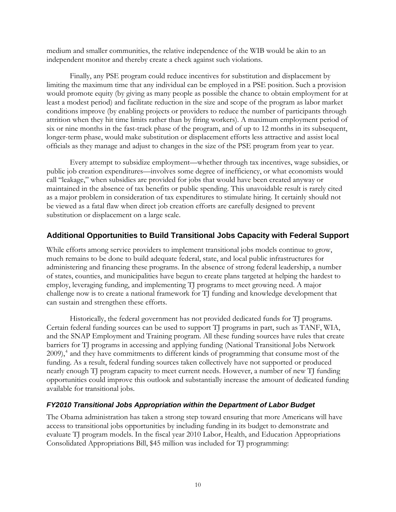<span id="page-9-0"></span>medium and smaller communities, the relative independence of the WIB would be akin to an independent monitor and thereby create a check against such violations.

Finally, any PSE program could reduce incentives for substitution and displacement by limiting the maximum time that any individual can be employed in a PSE position. Such a provision would promote equity (by giving as many people as possible the chance to obtain employment for at least a modest period) and facilitate reduction in the size and scope of the program as labor market conditions improve (by enabling projects or providers to reduce the number of participants through attrition when they hit time limits rather than by firing workers). A maximum employment period of six or nine months in the fast-track phase of the program, and of up to 12 months in its subsequent, longer-term phase, would make substitution or displacement efforts less attractive and assist local officials as they manage and adjust to changes in the size of the PSE program from year to year.

Every attempt to subsidize employment––whether through tax incentives, wage subsidies, or public job creation expenditures––involves some degree of inefficiency, or what economists would call "leakage," when subsidies are provided for jobs that would have been created anyway or maintained in the absence of tax benefits or public spending. This unavoidable result is rarely cited as a major problem in consideration of tax expenditures to stimulate hiring. It certainly should not be viewed as a fatal flaw when direct job creation efforts are carefully designed to prevent substitution or displacement on a large scale.

# **Additional Opportunities to Build Transitional Jobs Capacity with Federal Support**

While efforts among service providers to implement transitional jobs models continue to grow, much remains to be done to build adequate federal, state, and local public infrastructures for administering and financing these programs. In the absence of strong federal leadership, a number of states, counties, and municipalities have begun to create plans targeted at helping the hardest to employ, leveraging funding, and implementing TJ programs to meet growing need. A major challenge now is to create a national framework for TJ funding and knowledge development that can sustain and strengthen these efforts.

Historically, the federal government has not provided dedicated funds for TJ programs. Certain federal funding sources can be used to support TJ programs in part, such as TANF, WIA, and the SNAP Employment and Training program. All these funding sources have rules that create barriers for TJ programs in accessing and applying funding (National Transitional Jobs Network 2009),<sup>[4](#page-20-1)</sup> and they have commitments to different kinds of programming that consume most of the funding. As a result, federal funding sources taken collectively have not supported or produced nearly enough TJ program capacity to meet current needs. However, a number of new TJ funding opportunities could improve this outlook and substantially increase the amount of dedicated funding available for transitional jobs.

## *FY2010 Transitional Jobs Appropriation within the Department of Labor Budget*

The Obama administration has taken a strong step toward ensuring that more Americans will have access to transitional jobs opportunities by including funding in its budget to demonstrate and evaluate TJ program models. In the fiscal year 2010 Labor, Health, and Education Appropriations Consolidated Appropriations Bill, \$45 million was included for TJ programming: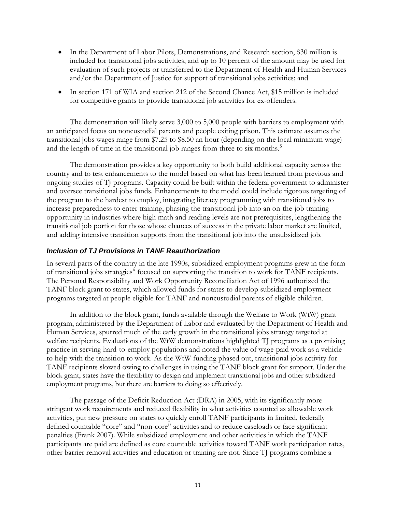- <span id="page-10-0"></span>• In the Department of Labor Pilots, Demonstrations, and Research section, \$30 million is included for transitional jobs activities, and up to 10 percent of the amount may be used for evaluation of such projects or transferred to the Department of Health and Human Services and/or the Department of Justice for support of transitional jobs activities; and
- In section 171 of WIA and section 212 of the Second Chance Act, \$15 million is included for competitive grants to provide transitional job activities for ex-offenders.

The demonstration will likely serve 3,000 to 5,000 people with barriers to employment with an anticipated focus on noncustodial parents and people exiting prison. This estimate assumes the transitional jobs wages range from \$7.25 to \$8.50 an hour (depending on the local minimum wage) and the length of time in the transitional job ranges from three to six months.<sup>[5](#page-20-1)</sup>

The demonstration provides a key opportunity to both build additional capacity across the country and to test enhancements to the model based on what has been learned from previous and ongoing studies of TJ programs. Capacity could be built within the federal government to administer and oversee transitional jobs funds. Enhancements to the model could include rigorous targeting of the program to the hardest to employ, integrating literacy programming with transitional jobs to increase preparedness to enter training, phasing the transitional job into an on-the-job training opportunity in industries where high math and reading levels are not prerequisites, lengthening the transitional job portion for those whose chances of success in the private labor market are limited, and adding intensive transition supports from the transitional job into the unsubsidized job.

## *Inclusion of TJ Provisions in TANF Reauthorization*

In several parts of the country in the late 1990s, subsidized employment programs grew in the form of transitional jobs strategies<sup>[6](#page-20-1)</sup> focused on supporting the transition to work for TANF recipients. The Personal Responsibility and Work Opportunity Reconciliation Act of 1996 authorized the TANF block grant to states, which allowed funds for states to develop subsidized employment programs targeted at people eligible for TANF and noncustodial parents of eligible children.

In addition to the block grant, funds available through the Welfare to Work (WtW) grant program, administered by the Department of Labor and evaluated by the Department of Health and Human Services, spurred much of the early growth in the transitional jobs strategy targeted at welfare recipients. Evaluations of the WtW demonstrations highlighted TJ programs as a promising practice in serving hard-to-employ populations and noted the value of wage-paid work as a vehicle to help with the transition to work. As the WtW funding phased out, transitional jobs activity for TANF recipients slowed owing to challenges in using the TANF block grant for support. Under the block grant, states have the flexibility to design and implement transitional jobs and other subsidized employment programs, but there are barriers to doing so effectively.

The passage of the Deficit Reduction Act (DRA) in 2005, with its significantly more stringent work requirements and reduced flexibility in what activities counted as allowable work activities, put new pressure on states to quickly enroll TANF participants in limited, federally defined countable "core" and "non-core" activities and to reduce caseloads or face significant penalties (Frank 2007). While subsidized employment and other activities in which the TANF participants are paid are defined as core countable activities toward TANF work participation rates, other barrier removal activities and education or training are not. Since TJ programs combine a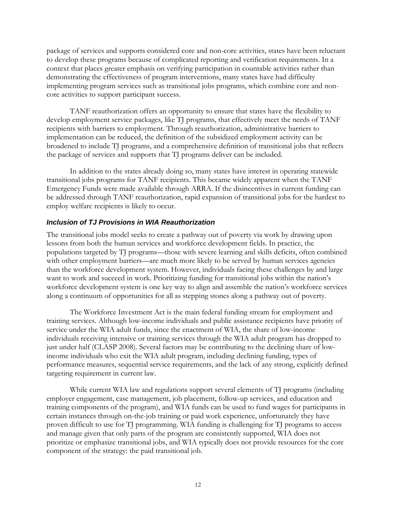<span id="page-11-0"></span>package of services and supports considered core and non-core activities, states have been reluctant to develop these programs because of complicated reporting and verification requirements. In a context that places greater emphasis on verifying participation in countable activities rather than demonstrating the effectiveness of program interventions, many states have had difficulty implementing program services such as transitional jobs programs, which combine core and noncore activities to support participant success.

TANF reauthorization offers an opportunity to ensure that states have the flexibility to develop employment service packages, like TJ programs, that effectively meet the needs of TANF recipients with barriers to employment. Through reauthorization, administrative barriers to implementation can be reduced, the definition of the subsidized employment activity can be broadened to include TJ programs, and a comprehensive definition of transitional jobs that reflects the package of services and supports that TJ programs deliver can be included.

In addition to the states already doing so, many states have interest in operating statewide transitional jobs programs for TANF recipients. This became widely apparent when the TANF Emergency Funds were made available through ARRA. If the disincentives in current funding can be addressed through TANF reauthorization, rapid expansion of transitional jobs for the hardest to employ welfare recipients is likely to occur.

## *Inclusion of TJ Provisions in WIA Reauthorization*

The transitional jobs model seeks to create a pathway out of poverty via work by drawing upon lessons from both the human services and workforce development fields. In practice, the populations targeted by TJ programs––those with severe learning and skills deficits, often combined with other employment barriers—are much more likely to be served by human services agencies than the workforce development system. However, individuals facing these challenges by and large want to work and succeed in work. Prioritizing funding for transitional jobs within the nation's workforce development system is one key way to align and assemble the nation's workforce services along a continuum of opportunities for all as stepping stones along a pathway out of poverty.

The Workforce Investment Act is the main federal funding stream for employment and training services. Although low-income individuals and public assistance recipients have priority of service under the WIA adult funds, since the enactment of WIA, the share of low-income individuals receiving intensive or training services through the WIA adult program has dropped to just under half (CLASP 2008). Several factors may be contributing to the declining share of lowincome individuals who exit the WIA adult program, including declining funding, types of performance measures, sequential service requirements, and the lack of any strong, explicitly defined targeting requirement in current law.

While current WIA law and regulations support several elements of TJ programs (including employer engagement, case management, job placement, follow-up services, and education and training components of the program), and WIA funds can be used to fund wages for participants in certain instances through on-the-job training or paid work experience, unfortunately they have proven difficult to use for TJ programming. WIA funding is challenging for TJ programs to access and manage given that only parts of the program are consistently supported, WIA does not prioritize or emphasize transitional jobs, and WIA typically does not provide resources for the core component of the strategy: the paid transitional job.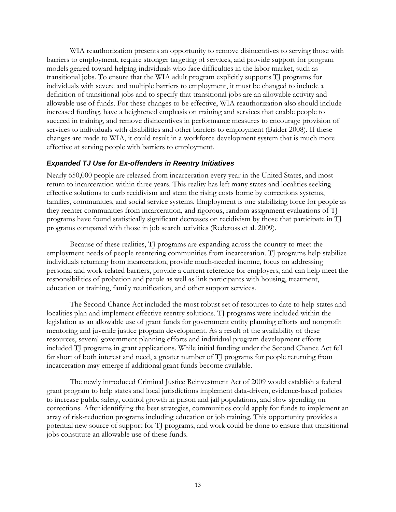<span id="page-12-0"></span>WIA reauthorization presents an opportunity to remove disincentives to serving those with barriers to employment, require stronger targeting of services, and provide support for program models geared toward helping individuals who face difficulties in the labor market, such as transitional jobs. To ensure that the WIA adult program explicitly supports TJ programs for individuals with severe and multiple barriers to employment, it must be changed to include a definition of transitional jobs and to specify that transitional jobs are an allowable activity and allowable use of funds. For these changes to be effective, WIA reauthorization also should include increased funding, have a heightened emphasis on training and services that enable people to succeed in training, and remove disincentives in performance measures to encourage provision of services to individuals with disabilities and other barriers to employment (Baider 2008). If these changes are made to WIA, it could result in a workforce development system that is much more effective at serving people with barriers to employment.

#### *Expanded TJ Use for Ex-offenders in Reentry Initiatives*

Nearly 650,000 people are released from incarceration every year in the United States, and most return to incarceration within three years. This reality has left many states and localities seeking effective solutions to curb recidivism and stem the rising costs borne by corrections systems, families, communities, and social service systems. Employment is one stabilizing force for people as they reenter communities from incarceration, and rigorous, random assignment evaluations of TJ programs have found statistically significant decreases on recidivism by those that participate in TJ programs compared with those in job search activities (Redcross et al. 2009).

Because of these realities, TJ programs are expanding across the country to meet the employment needs of people reentering communities from incarceration. TJ programs help stabilize individuals returning from incarceration, provide much-needed income, focus on addressing personal and work-related barriers, provide a current reference for employers, and can help meet the responsibilities of probation and parole as well as link participants with housing, treatment, education or training, family reunification, and other support services.

The Second Chance Act included the most robust set of resources to date to help states and localities plan and implement effective reentry solutions. TJ programs were included within the legislation as an allowable use of grant funds for government entity planning efforts and nonprofit mentoring and juvenile justice program development. As a result of the availability of these resources, several government planning efforts and individual program development efforts included TJ programs in grant applications. While initial funding under the Second Chance Act fell far short of both interest and need, a greater number of TJ programs for people returning from incarceration may emerge if additional grant funds become available.

The newly introduced Criminal Justice Reinvestment Act of 2009 would establish a federal grant program to help states and local jurisdictions implement data-driven, evidence-based policies to increase public safety, control growth in prison and jail populations, and slow spending on corrections. After identifying the best strategies, communities could apply for funds to implement an array of risk-reduction programs including education or job training. This opportunity provides a potential new source of support for TJ programs, and work could be done to ensure that transitional jobs constitute an allowable use of these funds.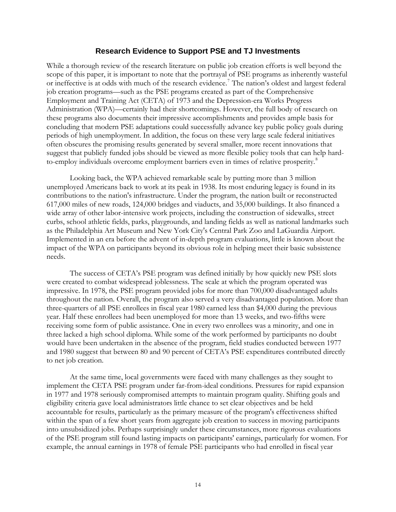#### **Research Evidence to Support PSE and TJ Investments**

<span id="page-13-0"></span>While a thorough review of the research literature on public job creation efforts is well beyond the scope of this paper, it is important to note that the portrayal of PSE programs as inherently wasteful or ineffective is at odds with much of the research evidence.<sup>[7](#page-20-1)</sup> The nation's oldest and largest federal job creation programs—such as the PSE programs created as part of the Comprehensive Employment and Training Act (CETA) of 1973 and the Depression-era Works Progress Administration (WPA)—certainly had their shortcomings. However, the full body of research on these programs also documents their impressive accomplishments and provides ample basis for concluding that modern PSE adaptations could successfully advance key public policy goals during periods of high unemployment. In addition, the focus on these very large scale federal initiatives often obscures the promising results generated by several smaller, more recent innovations that suggest that publicly funded jobs should be viewed as more flexible policy tools that can help hard-to-employ individuals overcome employment barriers even in times of relative prosperity.<sup>[8](#page-20-1)</sup>

Looking back, the WPA achieved remarkable scale by putting more than 3 million unemployed Americans back to work at its peak in 1938. Its most enduring legacy is found in its contributions to the nation's infrastructure. Under the program, the nation built or reconstructed 617,000 miles of new roads, 124,000 bridges and viaducts, and 35,000 buildings. It also financed a wide array of other labor-intensive work projects, including the construction of sidewalks, street curbs, school athletic fields, parks, playgrounds, and landing fields as well as national landmarks such as the Philadelphia Art Museum and New York City's Central Park Zoo and LaGuardia Airport. Implemented in an era before the advent of in-depth program evaluations, little is known about the impact of the WPA on participants beyond its obvious role in helping meet their basic subsistence needs.

The success of CETA's PSE program was defined initially by how quickly new PSE slots were created to combat widespread joblessness. The scale at which the program operated was impressive. In 1978, the PSE program provided jobs for more than 700,000 disadvantaged adults throughout the nation. Overall, the program also served a very disadvantaged population. More than three-quarters of all PSE enrollees in fiscal year 1980 earned less than \$4,000 during the previous year. Half these enrollees had been unemployed for more than 13 weeks, and two-fifths were receiving some form of public assistance. One in every two enrollees was a minority, and one in three lacked a high school diploma. While some of the work performed by participants no doubt would have been undertaken in the absence of the program, field studies conducted between 1977 and 1980 suggest that between 80 and 90 percent of CETA's PSE expenditures contributed directly to net job creation.

At the same time, local governments were faced with many challenges as they sought to implement the CETA PSE program under far-from-ideal conditions. Pressures for rapid expansion in 1977 and 1978 seriously compromised attempts to maintain program quality. Shifting goals and eligibility criteria gave local administrators little chance to set clear objectives and be held accountable for results, particularly as the primary measure of the program's effectiveness shifted within the span of a few short years from aggregate job creation to success in moving participants into unsubsidized jobs. Perhaps surprisingly under these circumstances, more rigorous evaluations of the PSE program still found lasting impacts on participants' earnings, particularly for women. For example, the annual earnings in 1978 of female PSE participants who had enrolled in fiscal year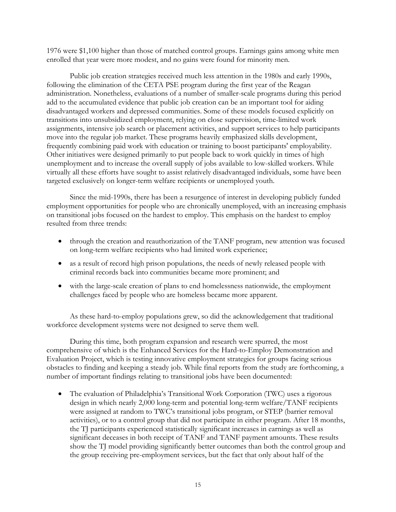1976 were \$1,100 higher than those of matched control groups. Earnings gains among white men enrolled that year were more modest, and no gains were found for minority men.

Public job creation strategies received much less attention in the 1980s and early 1990s, following the elimination of the CETA PSE program during the first year of the Reagan administration. Nonetheless, evaluations of a number of smaller-scale programs during this period add to the accumulated evidence that public job creation can be an important tool for aiding disadvantaged workers and depressed communities. Some of these models focused explicitly on transitions into unsubsidized employment, relying on close supervision, time-limited work assignments, intensive job search or placement activities, and support services to help participants move into the regular job market. These programs heavily emphasized skills development, frequently combining paid work with education or training to boost participants' employability. Other initiatives were designed primarily to put people back to work quickly in times of high unemployment and to increase the overall supply of jobs available to low-skilled workers. While virtually all these efforts have sought to assist relatively disadvantaged individuals, some have been targeted exclusively on longer-term welfare recipients or unemployed youth.

Since the mid-1990s, there has been a resurgence of interest in developing publicly funded employment opportunities for people who are chronically unemployed, with an increasing emphasis on transitional jobs focused on the hardest to employ. This emphasis on the hardest to employ resulted from three trends:

- through the creation and reauthorization of the TANF program, new attention was focused on long-term welfare recipients who had limited work experience;
- as a result of record high prison populations, the needs of newly released people with criminal records back into communities became more prominent; and
- with the large-scale creation of plans to end homelessness nationwide, the employment challenges faced by people who are homeless became more apparent.

As these hard-to-employ populations grew, so did the acknowledgement that traditional workforce development systems were not designed to serve them well.

During this time, both program expansion and research were spurred, the most comprehensive of which is the Enhanced Services for the Hard-to-Employ Demonstration and Evaluation Project, which is testing innovative employment strategies for groups facing serious obstacles to finding and keeping a steady job. While final reports from the study are forthcoming, a number of important findings relating to transitional jobs have been documented:

• The evaluation of Philadelphia's Transitional Work Corporation (TWC) uses a rigorous design in which nearly 2,000 long-term and potential long-term welfare/TANF recipients were assigned at random to TWC's transitional jobs program, or STEP (barrier removal activities), or to a control group that did not participate in either program. After 18 months, the TJ participants experienced statistically significant increases in earnings as well as significant deceases in both receipt of TANF and TANF payment amounts. These results show the TJ model providing significantly better outcomes than both the control group and the group receiving pre-employment services, but the fact that only about half of the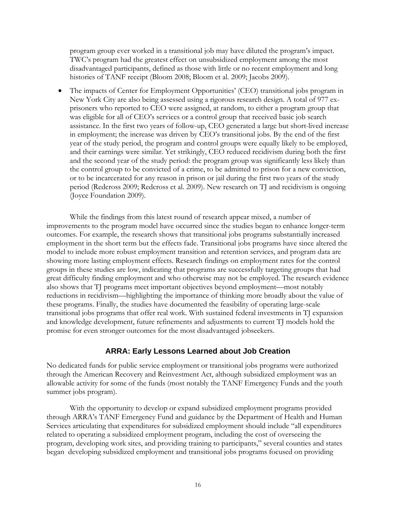<span id="page-15-0"></span>program group ever worked in a transitional job may have diluted the program's impact. TWC's program had the greatest effect on unsubsidized employment among the most disadvantaged participants, defined as those with little or no recent employment and long histories of TANF receipt (Bloom 2008; Bloom et al. 2009; Jacobs 2009).

• The impacts of Center for Employment Opportunities' (CEO) transitional jobs program in New York City are also being assessed using a rigorous research design. A total of 977 exprisoners who reported to CEO were assigned, at random, to either a program group that was eligible for all of CEO's services or a control group that received basic job search assistance. In the first two years of follow-up, CEO generated a large but short-lived increase in employment; the increase was driven by CEO's transitional jobs. By the end of the first year of the study period, the program and control groups were equally likely to be employed, and their earnings were similar. Yet strikingly, CEO reduced recidivism during both the first and the second year of the study period: the program group was significantly less likely than the control group to be convicted of a crime, to be admitted to prison for a new conviction, or to be incarcerated for any reason in prison or jail during the first two years of the study period (Redcross 2009; Redcross et al. 2009). New research on TJ and recidivism is ongoing (Joyce Foundation 2009).

While the findings from this latest round of research appear mixed, a number of improvements to the program model have occurred since the studies began to enhance longer-term outcomes. For example, the research shows that transitional jobs programs substantially increased employment in the short term but the effects fade. Transitional jobs programs have since altered the model to include more robust employment transition and retention services, and program data are showing more lasting employment effects. Research findings on employment rates for the control groups in these studies are low, indicating that programs are successfully targeting groups that had great difficulty finding employment and who otherwise may not be employed. The research evidence also shows that TJ programs meet important objectives beyond employment—most notably reductions in recidivism—highlighting the importance of thinking more broadly about the value of these programs. Finally, the studies have documented the feasibility of operating large-scale transitional jobs programs that offer real work. With sustained federal investments in TJ expansion and knowledge development, future refinements and adjustments to current TJ models hold the promise for even stronger outcomes for the most disadvantaged jobseekers.

## **ARRA: Early Lessons Learned about Job Creation**

No dedicated funds for public service employment or transitional jobs programs were authorized through the American Recovery and Reinvestment Act, although subsidized employment was an allowable activity for some of the funds (most notably the TANF Emergency Funds and the youth summer jobs program).

With the opportunity to develop or expand subsidized employment programs provided through ARRA's TANF Emergency Fund and guidance by the Department of Health and Human Services articulating that expenditures for subsidized employment should include "all expenditures related to operating a subsidized employment program, including the cost of overseeing the program, developing work sites, and providing training to participants," several counties and states began developing subsidized employment and transitional jobs programs focused on providing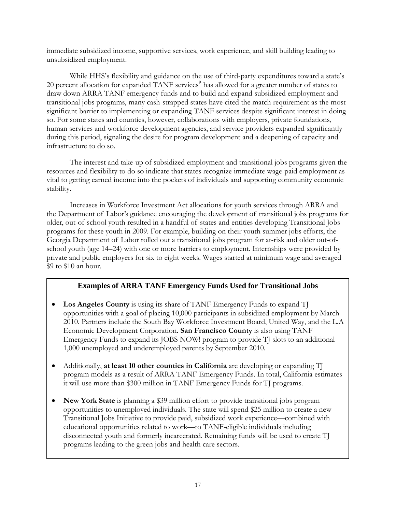immediate subsidized income, supportive services, work experience, and skill building leading to unsubsidized employment.

While HHS's flexibility and guidance on the use of third-party expenditures toward a state's 20 percent allocation for expanded TANF services<sup>[9](#page-20-1)</sup> has allowed for a greater number of states to draw down ARRA TANF emergency funds and to build and expand subsidized employment and transitional jobs programs, many cash-strapped states have cited the match requirement as the most significant barrier to implementing or expanding TANF services despite significant interest in doing so. For some states and counties, however, collaborations with employers, private foundations, human services and workforce development agencies, and service providers expanded significantly during this period, signaling the desire for program development and a deepening of capacity and infrastructure to do so.

The interest and take-up of subsidized employment and transitional jobs programs given the resources and flexibility to do so indicate that states recognize immediate wage-paid employment as vital to getting earned income into the pockets of individuals and supporting community economic stability.

Increases in Workforce Investment Act allocations for youth services through ARRA and the Department of Labor's guidance encouraging the development of transitional jobs programs for older, out-of-school youth resulted in a handful of states and entities developing Transitional Jobs programs for these youth in 2009. For example, building on their youth summer jobs efforts, the Georgia Department of Labor rolled out a transitional jobs program for at-risk and older out-ofschool youth (age 14–24) with one or more barriers to employment. Internships were provided by private and public employers for six to eight weeks. Wages started at minimum wage and averaged \$9 to \$10 an hour.

# **Examples of ARRA TANF Emergency Funds Used for Transitional Jobs**

- **Los Angeles County** is using its share of TANF Emergency Funds to expand TJ opportunities with a goal of placing 10,000 participants in subsidized employment by March 2010. Partners include the South Bay Workforce Investment Board, United Way, and the L.A Economic Development Corporation. **San Francisco County** is also using TANF Emergency Funds to expand its JOBS NOW! program to provide TJ slots to an additional 1,000 unemployed and underemployed parents by September 2010.
- Additionally, **at least 10 other counties in California** are developing or expanding TJ program models as a result of ARRA TANF Emergency Funds. In total, California estimates it will use more than \$300 million in TANF Emergency Funds for TJ programs.
- **New York State** is planning a \$39 million effort to provide transitional jobs program opportunities to unemployed individuals. The state will spend \$25 million to create a new Transitional Jobs Initiative to provide paid, subsidized work experience—combined with educational opportunities related to work—to TANF-eligible individuals including disconnected youth and formerly incarcerated. Remaining funds will be used to create TJ programs leading to the green jobs and health care sectors.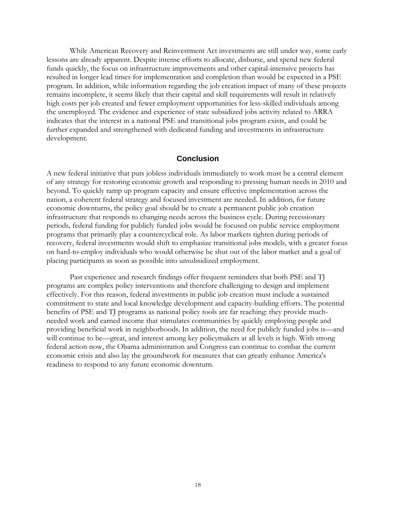<span id="page-17-0"></span>While American Recovery and Reinvestment Act investments are still under way, some early lessons are already apparent. Despite intense efforts to allocate, disburse, and spend new federal funds quickly, the focus on infrastructure improvements and other capital-intensive projects has resulted in longer lead times for implementation and completion than would be expected in a PSE program. In addition, while information regarding the job creation impact of many of these projects remains incomplete, it seems likely that their capital and skill requirements will result in relatively high costs per job created and fewer employment opportunities for less-skilled individuals among the unemployed. The evidence and experience of state subsidized jobs activity related to ARRA indicates that the interest in a national PSE and transitional jobs program exists, and could be further expanded and strengthened with dedicated funding and investments in infrastructure development.

#### **Conclusion**

A new federal initiative that puts jobless individuals immediately to work must be a central element of any strategy for restoring economic growth and responding to pressing human needs in 2010 and beyond. To quickly ramp up program capacity and ensure effective implementation across the nation, a coherent federal strategy and focused investment are needed. In addition, for future economic downturns, the policy goal should be to create a permanent public job creation infrastructure that responds to changing needs across the business cycle. During recessionary periods, federal funding for publicly funded jobs would be focused on public service employment programs that primarily play a countercyclical role. As labor markets tighten during periods of recovery, federal investments would shift to emphasize transitional jobs models, with a greater focus on hard-to-employ individuals who would otherwise be shut out of the labor market and a goal of placing participants as soon as possible into unsubsidized employment.

Past experience and research findings offer frequent reminders that both PSE and TJ programs are complex policy interventions and therefore challenging to design and implement effectively. For this reason, federal investments in public job creation must include a sustained commitment to state and local knowledge development and capacity-building efforts. The potential benefits of PSE and TJ programs as national policy tools are far reaching: they provide muchneeded work and earned income that stimulates communities by quickly employing people and providing beneficial work in neighborhoods. In addition, the need for publicly funded jobs is—and will continue to be—great, and interest among key policymakers at all levels is high. With strong federal action now, the Obama administration and Congress can continue to combat the current economic crisis and also lay the groundwork for measures that can greatly enhance America's readiness to respond to any future economic downturn.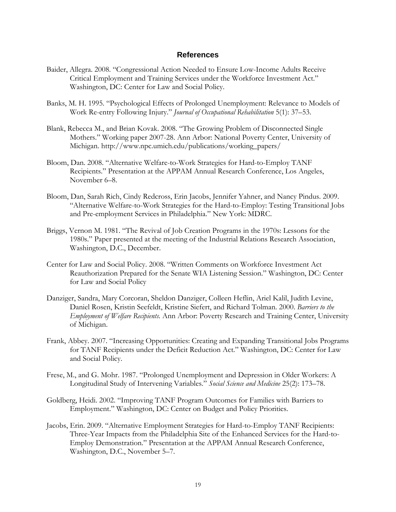#### **References**

- <span id="page-18-0"></span>Baider, Allegra. 2008. "Congressional Action Needed to Ensure Low-Income Adults Receive Critical Employment and Training Services under the Workforce Investment Act." Washington, DC: Center for Law and Social Policy.
- Banks, M. H. 1995. "Psychological Effects of Prolonged Unemployment: Relevance to Models of Work Re-entry Following Injury." *Journal of Occupational Rehabilitation* 5(1): 37–53.
- Blank, Rebecca M., and Brian Kovak. 2008. "The Growing Problem of Disconnected Single Mothers." Working paper 2007-28. Ann Arbor: National Poverty Center, University of Michigan. http://www.npc.umich.edu/publications/working\_papers/
- Bloom, Dan. 2008. "Alternative Welfare-to-Work Strategies for Hard-to-Employ TANF Recipients." Presentation at the APPAM Annual Research Conference, Los Angeles, November 6–8.
- Bloom, Dan, Sarah Rich, Cindy Redcross, Erin Jacobs, Jennifer Yahner, and Nancy Pindus. 2009. "Alternative Welfare-to-Work Strategies for the Hard-to-Employ: Testing Transitional Jobs and Pre-employment Services in Philadelphia." New York: MDRC.
- Briggs, Vernon M. 1981. "The Revival of Job Creation Programs in the 1970s: Lessons for the 1980s." Paper presented at the meeting of the Industrial Relations Research Association, Washington, D.C., December.
- Center for Law and Social Policy. 2008. "Written Comments on Workforce Investment Act Reauthorization Prepared for the Senate WIA Listening Session." Washington, DC: Center for Law and Social Policy
- Danziger, Sandra, Mary Corcoran, Sheldon Danziger, Colleen Heflin, Ariel Kalil, Judith Levine, Daniel Rosen, Kristin Seefeldt, Kristine Siefert, and Richard Tolman. 2000. *Barriers to the Employment of Welfare Recipients.* Ann Arbor: Poverty Research and Training Center, University of Michigan.
- Frank, Abbey. 2007. "Increasing Opportunities: Creating and Expanding Transitional Jobs Programs for TANF Recipients under the Deficit Reduction Act." Washington, DC: Center for Law and Social Policy.
- Frese, M., and G. Mohr. 1987. "Prolonged Unemployment and Depression in Older Workers: A Longitudinal Study of Intervening Variables." *Social Science and Medicine* 25(2): 173–78.
- Goldberg, Heidi. 2002. "Improving TANF Program Outcomes for Families with Barriers to Employment." Washington, DC: Center on Budget and Policy Priorities.
- Jacobs, Erin. 2009. "Alternative Employment Strategies for Hard-to-Employ TANF Recipients: Three-Year Impacts from the Philadelphia Site of the Enhanced Services for the Hard-to-Employ Demonstration." Presentation at the APPAM Annual Research Conference, Washington, D.C., November 5–7.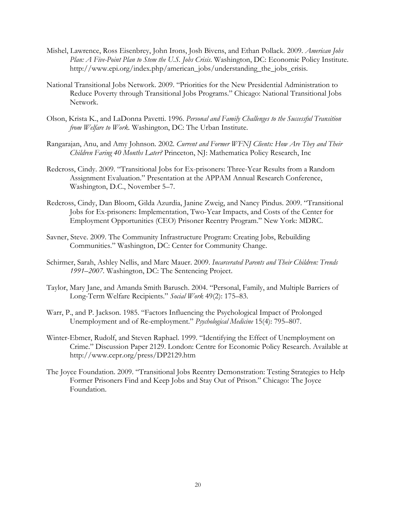- Mishel, Lawrence, Ross Eisenbrey, John Irons, Josh Bivens, and Ethan Pollack. 2009. *American Jobs Plan: A Five-Point Plan to Stem the U.S. Jobs Crisis*. Washington, DC: Economic Policy Institute. http://www.epi.org/index.php/american\_jobs/understanding\_the\_jobs\_crisis.
- National Transitional Jobs Network. 2009. "Priorities for the New Presidential Administration to Reduce Poverty through Transitional Jobs Programs." Chicago: National Transitional Jobs Network.
- Olson, Krista K., and LaDonna Pavetti. 1996. *Personal and Family Challenges to the Successful Transition from Welfare to Work.* Washington, DC: The Urban Institute.
- Rangarajan, Anu, and Amy Johnson. 2002. *Current and Former WFNJ Clients: How Are They and Their Children Faring 40 Months Later?* Princeton, NJ: Mathematica Policy Research, Inc
- Redcross, Cindy. 2009. "Transitional Jobs for Ex-prisoners: Three-Year Results from a Random Assignment Evaluation." Presentation at the APPAM Annual Research Conference, Washington, D.C., November 5–7.
- Redcross, Cindy, Dan Bloom, Gilda Azurdia, Janine Zweig, and Nancy Pindus. 2009. "Transitional Jobs for Ex-prisoners: Implementation, Two-Year Impacts, and Costs of the Center for Employment Opportunities (CEO) Prisoner Reentry Program." New York: MDRC.
- Savner, Steve. 2009. The Community Infrastructure Program: Creating Jobs, Rebuilding Communities." Washington, DC: Center for Community Change.
- Schirmer, Sarah, Ashley Nellis, and Marc Mauer. 2009. *Incarcerated Parents and Their Children: Trends 1991–2007*. Washington, DC: The Sentencing Project.
- Taylor, Mary Jane, and Amanda Smith Barusch. 2004. "Personal, Family, and Multiple Barriers of Long-Term Welfare Recipients." *Social Work* 49(2): 175–83.
- Warr, P., and P. Jackson. 1985. "Factors Influencing the Psychological Impact of Prolonged Unemployment and of Re-employment." *Psychological Medicine* 15(4): 795–807.
- Winter-Ebmer, Rudolf, and Steven Raphael. 1999. "Identifying the Effect of Unemployment on Crime." Discussion Paper 2129. London: Centre for Economic Policy Research. Available at http://www.cepr.org/press/DP2129.htm
- The Joyce Foundation. 2009. "Transitional Jobs Reentry Demonstration: Testing Strategies to Help Former Prisoners Find and Keep Jobs and Stay Out of Prison." Chicago: The Joyce Foundation.